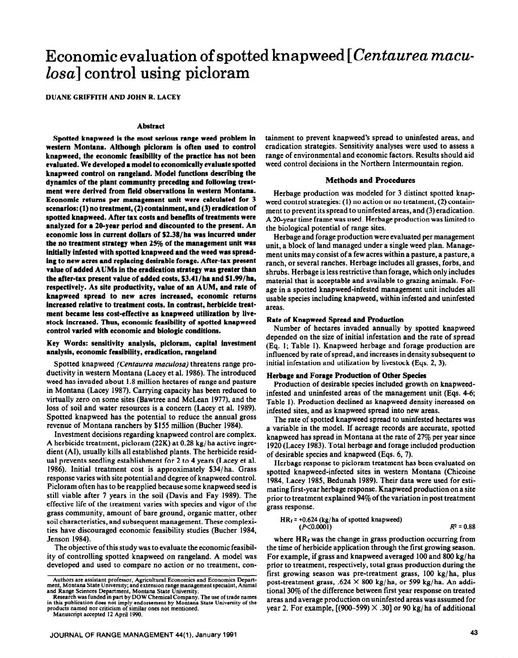# **Economic evaluation of spotted knapweed [** *Centaurea maculosa]* **control using picloram**

DUANE GRIFFITH AND JOHN R. LACEY

## **Abstract**

**Spotted knapweed is the most serious range weed problem in western Montana. Although picloram is often used to control knapweed, the economic feasibility of the practice has not been evaluated. We developed a model to economically evaluate spotted knapweed control on rangeland. Model functions describing the dynamics of the plant community preceding and following treatment were derived from field observations in western Montana. Economic returns per management unit were calculated for 3 scenarios: (1) no treatment, (2) containment, and (3) eradication of spotted knapweed. After tax costs and benefits of treatments were analyzed for a 20-year period and discounted to the present. An economic loss in current dollars of S2.38/ha was incurred under the no treatment strategy when 25% of the management unit was initiaily inlested with spotted knapweed and the weed was spreading to new acres and replacing desirable forage. After-tax present value of added AUMs in the eradication strategy was greater than the after-tax present value of** added costs, S3.41/ha and **Sl .99/ha,**  respectively. **As site** productivity, **value of an AUM, and rate of knapweed spread to new acres increased, economic returns increased relative to treatment costs. In contrast, herbicide treat**ment became less cost-effective as knapweed utilization by live**stock increased. Thus, economic feasibility of spotted knapweed control varied with economic and biologic conditions.** 

## Key **Words: sensitivity analysis, picioram, capital investment analysis, economic feasibility, eradication, rangeiand**

Spotted knapweed *(Centaurea maculosa)* threatens range productivity in western Montana (Lacey et al. 1986). The introduced weed has invaded about 1.8 million hectares of range and pasture in Montana (Lacey 1987). Carrying capacity has been reduced to virtually zero on some sites (Bawtree and McLean 1977) and the loss of soil and water resources is a concern (Lacey et al. 1989). Spotted knapweed has the potential to reduce the annual gross revenue of Montana ranchers by \$155 million (Bucher 1984).

Investment decisions regarding knapweed control are complex. A herbicide treatment, picloram (22K) at 0.28 kg/ ha active ingredient (AI), usually kills all established plants. The herbicide residual prevents seedling establishment for 2 to 4 years (Lacey et al. 1986). Initial treatment cost is approximately \$34/ha. Grass response varies with site potential and degree of knapweed control. Picloram often has to be reapplied because some knapweed seed is still viable after 7 years in the soil (Davis and Fay 1989). The effective life of the treatment varies with species and vigor of the grass community, amount of bare ground, organic matter, other soil characteristics, and subsequent management. These complexities have discouraged economic feasibility studies (Bucher 1984, Jenson 1984).

The objective of this study was to evaluate the economic feasibility of controlling spotted knapweed on rangeland. A model was developed and used to compare no action or no treatment, con-

Manuscript accepted 12 April 1990.

tainment to prevent knapweed's spread to uninfested areas, and eradication strategies. Sensitivity analyses were used to assess a range of environmental and economic factors. Results should aid weed control decisions in the Northern Intermountain region.

#### **Methods and Procedures**

Herbage production was modeled for 3 distinct spotted knapweed control strategies: (1) no action or no treatment, (2) containment to prevent its spread to uninfested areas, and (3) eradication. A 20-year time frame was used. Herbage production was limited to the biological potential of range sites.

Herbage and forage production were evaluated per management unit, a block of land managed under a single weed plan. Management units may consist of a few acres within a pasture, a pasture, a ranch, or several ranches. Herbage includes all grasses, forbs, and shrubs. Herbage is less restrictive than forage, which only includes material that is acceptable and available to grazing animals. Forage in a spotted knapweed-infested management unit includes all usable species including knapweed, within infested and uninfested areas.

## **Rate of Knapweed Spread and Production**

**Number of hectares invaded annually by spotted knapweed depended on the size of initial infestation and the rate of spread**  (Eq. 1; Table 1). Knapweed herbage and forage production are influenced by rate of spread, and increases in density subsequent to initial infestation and utilization by livestock (Eqs. 2,3).

## **Herbage and Forage Production of Other Species**

Production of desirable species included growth on knapweedinfested and uninfested areas of the management unit (Eqs. 4-6; Table 1). Production declined as knapweed density increased on infested sites, and as knapweed spread into new areas.

The rate of spotted knapweed spread to uninfested hectares was a variable in the model. If acreage records are accurate, spotted knapweed has spread in Montana at the rate of 27% per year since 1920 (Lacey 1983). Total herbage and forage included production of desirable species and knapweed (Eqs. 6, 7).

Herbage response to picloram treatment has been evaluated on spotted knapweed-infected sites in western Montana (Chicoine 1984, Lacey 1985, Bedunah 1989). Their data were used for estimating first-year herbage response. Knapweed production on a site prior to treatment explained 94% of the variation in post treatment grass response.

$$
HR_f = +0.624 \text{ (kg/ha of spotted knapweed)}(P<0.0001) \qquad R^2 = 0.88
$$

where  $HR_f$  was the change in grass production occurring from the time of herbicide application through the first growing season. For example, if grass and knapweed averaged 100 and 800 kg/ ha prior to treatment, respectively, total grass production during the first growing season was pre-treatment grass, 100 kg/ha, plus post-treatment grass, .624  $\times$  800 kg/ha, or 599 kg/ha. An additional 30% of the difference between first year response on treated areas and average production on uninfested areas was assumed for year 2. For example,  $[(900-599) \times .30]$  or 90 kg/ha of additional

Authors are assistant professor, Agricultural Economics and Economics Dcpart-ment, Montana State Umversity; and extension range management specialist, Animal and Range Sciences Department, Montana State University.

Research was funded in part by DOW Chemical Company. The use of trade names in this publication does not imply endorsement by Montana State University of the products named nor criticism of similar ones not mentioned.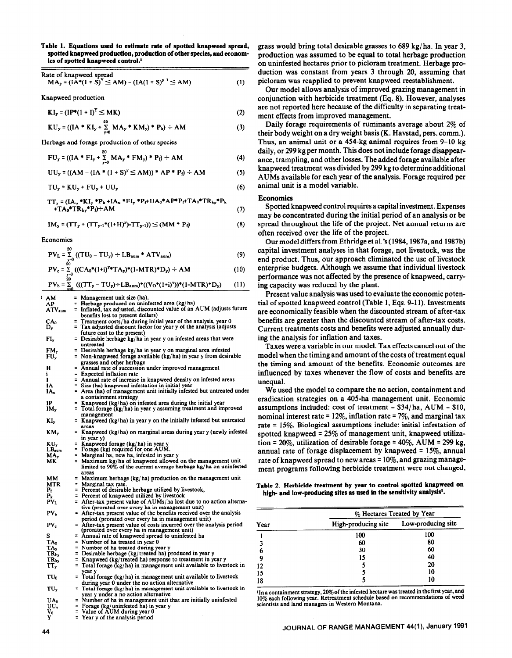**Table 1. Equations used to estimate rate of spotted knapweed spread, spotted knapweed production, production of other species, and economics of spotted knapweed control.'** 

**Rate** of knapweed spread  $MA_y = (IA^*(1 + S)^Y \le AM) - (IA(1 + S)^{y-1} \le AM)$ (1)

Knapweecl production

 $KI_y = (IP^*(1 + I)^Y \le MK)$ (2)

 $KU_y = ((IA * KI_y + \frac{20}{x_0})(MA_y * KM_y) * P_k) \div AM$ (3)

Herbage and forage production of other species

$$
FU_y = ((IA * FI_y + \sum_{y=0}^{10} MA_y * FM_y) * P_f) \div AM
$$

$$
UU_{y} = ((AM - (IA * (1 + S)^{y} \le AM)) * AP * P_{f}) \div AM
$$

$$
TU_y = KU_y + FU_y + UU_y \tag{6}
$$

$$
TT_y = (IA_u * KI_y * P_k + IA_u * FI_y * P_f + UA_0 * AP^* P_f + TA_0 * TR_{ky} * P_k+ TA_0 * TR_{hy} * P_f) \div AM
$$
\n(7)

$$
IM_{y} = (TT_{y} + (TT_{y-1}*(1+H)^{y})-TT_{y-1})) \leq (MM * P_{f})
$$
\n(8)

Economics

$$
PV_{L} = \sum_{\substack{y=0 \ 20}}^{20} ((TU_{0} - TU_{y}) \div LB_{\text{aum}} * ATV_{\text{aum}})
$$
(9)

$$
PV_c = \sum_{\substack{y=0 \ y\geq 0}} \left( (CA_0 * (1+i)^{y} T A_y) * (1-MTR)^* D_y \right) \div AM \tag{10}
$$

$$
PV_b = \sum_{y=0}^{\infty} \left( ((TT_y - TU_y) \div LB_{\text{aum}})^*((V_0^*(1+i)^y))^*(1-MTR)^*D_y) \right) (11)
$$

 $^1$  AM = Management unit size (ha),<br>= Herbage produced on uninfested area (kg/ha)<br>= Inflated, tax adjusted, discounted value of an AUM (adjusts future **AP** ATV<sub>aun</sub> benefits lost to present dollars)  $C_{D_v}^{A_0}$ = Treatment costs/ ha during initial year of the analysis, year 0 = Tax adjusted discount factor for year y of the analysts (adjusts future cost to the present) FI, = Desirable herbage  $kg/ha$  in year y on infested areas that were untreated  $=$  Desirable herbage kg/ ha in year y on marginal area infested<br> $=$  Desirable herbage kg/ ha in year y on marginal area infested<br> $=$  Non-knanweed forage available (kg/ha) in year y from desir  $\frac{FM_{y}}{FU_{y}}$ = Non-knapweed forage available (kg/ha) in year y from desirable grasses and other herbage  $\mathbf H$  $=$  Annual rate of succession under improved management<br> $=$  Expected inflation rate Expected inflation rate Annual rate of increase in knapweed density on infested areas = Size (ha) knapweed infestation in initial year.<br>  $\overline{z}$  Area (ha) of management unit initially inf Area (ha) of management unit initially infested but untreated under IA. a containment straiegy IP<br>IM. Knapweed (kg/ha) on infested area during the initial year<br>Total forage (kg/ha) in year y assuming treatment and improved **management**  Knapweed (kg/ha) in year y on the initially infested but untreated KI<sub>y</sub>  $\equiv$ areas Knapweed (kg/ha) on marginal areas during year y (newly infested KM,  $\equiv$ in year y) Knapweed forage (kg/ ha) in year y Forage (kg) required for one AUM. Marginal ha, new ha, infested in year y KU,  $LB_{num}$  $\equiv$ MA<sub>y</sub><br>MK  $\equiv$ Maximum kg/ ha of knapweed allowed on the management unit limited to 90% of the current average herbage kg/ha on uninfested areas **MM** Maximum herbage (kg/ ha) production on the management unit **MTR**  $\equiv$ Marginal tax rate. Percent of desirable herbage utilized by livestock, Percent of knapweed utilized by livestock  $P_k$ <br> $PV_L$ After-tax present value of AUMs/ha lost due to no action altema- $\overline{a}$ tive (prorated over every ha in management unit)  $PV<sub>b</sub>$  $\equiv$ After-tax present value of the benefits received over the analysis period (prorated over every ha in management unit) After-tax present value of costs incurred over the analysis period (prorated over every ha in management unit)  $PV_c$ Annual rate of knapweed spread to uninfested ha TA<sub>0</sub> Number of ha treated in year 0  $T_{R_{hy}}^{X_{y}}$ Number of ha treated during year y Desirable herbage (kg/treated ha) produced in year y Knapweed (kg/treated ha) response to treatment in year y  $\equiv$ TR<sub>ky</sub> TT, Total forage (kg/ha) in management unit available to livestock in  $\equiv$ vear  $TU<sub>0</sub>$  $=$  Total forage (kg/ha) in management unit available to livestock during year 0 under the no action alternative Total forage (kg/ha) in management unit available to livestock in TU<sub>v</sub> year y under a no action alternative  $U_{\text{U}}$ Number of ha in management unit that are initially uninfested  $\equiv$  $\overline{a}$ Forage (kg/uninfested ha) in year y Value of AUM during year 0  $\check{Y}_0$ <sup>V<sub>0</sub></sup>  $\overline{a}$ 

Year y of the analysis period

grass would bring total desirable grasses to 689 kg/ ha. In year 3, production was assumed to be equal to total herbage production on uninfested hectares prior to picloram treatment. Herbage production was constant from years 3 through 20, assuming that picloram was reapplied to prevent knapweed reestablishment.

Our model allows analysis of improved grazing management in conjunction with herbicide treatment (Eq. 8). However, analyses are not reported here because of the difficulty in separating treatment effects from improved management.

Daily forage requirements of ruminants average about 2% of their body weight on a dry weight basis (K. Havstad, pers. comm.). Thus, an animal unit or a 454-kg animal requires from 9-10 kg daily, or 299 kg per month. This does not include forage disappearance, trampling, and other losses. The added forage available after knapweed treatment was divided by 299 kg to determine additional AUMs available for each year of the analysis. Forage required per animal unit is a model variable.

## **Economics**

(4) (5)

> Spotted knapweed control requires a capital investment. Expenses may be concentrated during the initial period of an analysis or be spread throughout the life of the project. Net annual returns are often received over the life of the project.

> Our model differs from Ethridge et al.'s (1984,1987a, and 1987b) capital investment analyses in that forage, not livestock, was the end product. Thus, our approach eliminated the use of livestock enterprise budgets. Although we assume that individual livestock performance was not affected by the presence of knapweed, carrying capacity was reduced by the plant.

> Present value analysis was used to evaluate the economic potential of spotted knapweed control (Table 1, Eqs. 9-11). Investments are economically feasible when the discounted stream of after-tax benefits are greater than the discounted stream of after-tax costs. Current treatments costs and benefits were adjusted annually during the analysis for inflation and taxes.

> Taxes were a variable in our model. Tax effects cancel out of the model when the timing and amount of the costs of treatment equal the timing and amount of the benefits. Economic outcomes are influenced by taxes whenever the flow of costs and benefits are unequal.

> We used the model to compare the no action, containment and eradication strategies on a 405-ha management unit. Economic assumptions included: cost of treatment =  $$34/ha$ , AUM =  $$10$ , nominal interest rate = 12%, inflation rate =  $7\%$ , and marginal tax rate = 15%. Biological assumptions include: initial infestation of spotted knapweed  $= 25\%$  of management unit, knapweed utilization =  $20\%$ , utilization of desirable forage =  $40\%$ , AUM = 299 kg, annual rate of forage displacement by knapweed  $= 15\%$ , annual rate of knapweed spread to new areas  $= 10\%$ , and grazing management programs following herbicide treatment were not changed,

#### Table 2. **Herbicide treatment by year to control spotted knapweed on**  high- and low-producing sites as used in the sensitivity analysis<sup>1</sup>.

| Year | % Hectares Treated by Year |                    |  |  |  |
|------|----------------------------|--------------------|--|--|--|
|      | High-producing site        | Low-producing site |  |  |  |
|      | 100                        | 100                |  |  |  |
|      | 60                         | 80                 |  |  |  |
|      | 30                         | 60                 |  |  |  |
| 9    | 15                         | 40                 |  |  |  |
| 12   |                            | 20                 |  |  |  |
| 15   |                            | 10                 |  |  |  |
| 18   |                            | 10                 |  |  |  |

1 In a containment strategy, 20% of the infested hectare was treated in the first Year, and 10% each following year. Retreatment schedule based on recommendations of weed scientists and land managers in Western Montana.

 $\equiv$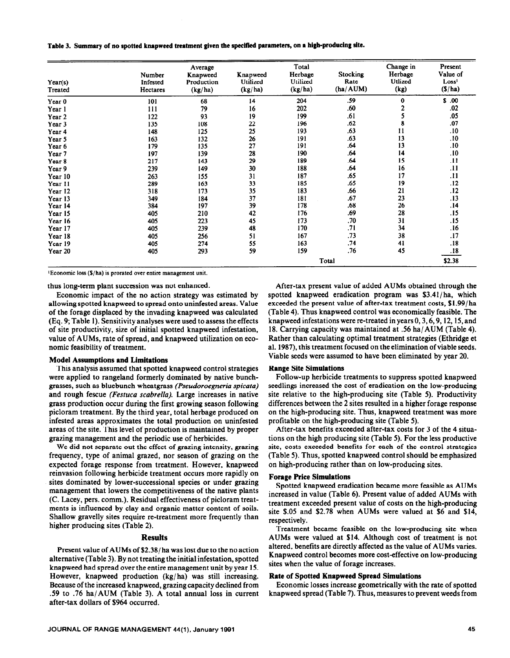**Table 3. Summary of no spotted knapweed treatment given the specified parameters, on 8 high-producing site.** 

| Year(s)<br>Treated | Number<br>Infested<br>Hectares | Average<br>Knapweed<br>Production<br>(kg/ha) | Knapweed<br>Utilized<br>(kg/ha) | Total<br>Herbage<br>Utilized<br>(kg/ha) | <b>Stocking</b><br>Rate<br>(ha/AUM) | Change in<br>Herbage<br>Utlized<br>(kg) | Present<br>Value of<br>Loss <sup>1</sup><br>(S/ha) |
|--------------------|--------------------------------|----------------------------------------------|---------------------------------|-----------------------------------------|-------------------------------------|-----------------------------------------|----------------------------------------------------|
| Year <sub>0</sub>  | 101                            | 68                                           | 14                              | 204                                     | .59                                 | $\bf{0}$                                | S.00                                               |
| Year 1             | 111                            | 79                                           | 16                              | 202                                     | .60                                 |                                         | .02                                                |
| Year 2             | 122                            | 93                                           | 19                              | 199                                     | .61                                 |                                         | .05                                                |
| Year 3             | 135                            | 108                                          | 22                              | 196                                     | .62                                 | 8                                       | .07                                                |
| Year 4             | 148                            | 125                                          | 25                              | 193                                     | .63                                 | 11                                      | .10                                                |
| Year 5             | 163                            | 132                                          | 26                              | 191                                     | .63                                 | 13                                      | .10                                                |
| Year 6             | 179                            | 135                                          | 27                              | 191                                     | .64                                 | 13                                      | .10                                                |
| Year 7             | 197                            | 139                                          | 28                              | 190                                     | .64                                 | 14                                      | .10                                                |
| Year 8             | 217                            | 143                                          | 29                              | 189                                     | .64                                 | 15                                      | .11                                                |
| Year 9             | 239                            | 149                                          | 30                              | 188                                     | .64                                 | 16                                      | .11                                                |
| Year 10            | 263                            | 155                                          | 31                              | 187                                     | .65                                 | 17                                      | .11                                                |
| Year 11            | 289                            | 163                                          | 33                              | 185                                     | .65                                 | 19                                      | .12                                                |
| Year 12            | 318                            | 173                                          | 35                              | 183                                     | .66                                 | 21                                      | .12                                                |
| Year 13            | 349                            | 184                                          | 37                              | 181                                     | .67                                 | 23                                      | .13                                                |
| Year 14            | 384                            | 197                                          | 39                              | 178                                     | .68                                 | 26                                      | .14                                                |
| Year 15            | 405                            | 210                                          | 42                              | 176                                     | .69                                 | 28                                      | .15                                                |
| Year 16            | 405                            | 223                                          | 45                              | 173                                     | .70                                 | 31                                      | .15                                                |
| Year 17            | 405                            | 239                                          | 48                              | 170                                     | .71                                 | 34                                      | .16                                                |
| Year 18            | 405                            | 256                                          | 51                              | 167                                     | .73                                 | 38                                      | .17                                                |
| Year 19            | 405                            | 274                                          | 55                              | 163                                     | .74                                 | 41                                      | .18                                                |
| Year 20            | 405                            | 293                                          | 59                              | 159                                     | .76                                 | 45                                      | .18                                                |
|                    |                                |                                              |                                 |                                         | Total                               |                                         | \$2.38                                             |

 $\frac{1}{2}$ Economic loss (\$/ha) is prorated over entire management unit.

thus long-term plant succession was not enhanced.

Economic impact of the no action strategy was estimated by allowing spotted knapweed to spread onto uninfested areas. Value of the forage displaced by the invading knapweed was calculated (Eq. 9; Table 1). Sensitivity analyses were used to assess the effects of site productivity, size of initial spotted knapweed infestation, value of AUMs, rate of spread, and knapweed utilization on economic feasibility of treatment.

#### **Model Assumptions and Limitations**

This analysis assumed that spotted knapweed control strategies were applied to rangeland formerly dominated by native bunchgrasses, such as bluebunch wheatgrass *(Pseudoroegneria spicata)*  and rough fescue *(Festuca scabrella).* Large increases in native grass production occur during the first growing season following picloram treatment. By the third year, total herbage produced on infested areas approximates the total production on uninfested areas of the site. This level of production is maintained by proper grazing management and the periodic use of herbicides.

We did not separate out the effect of grazing intensity, grazing frequency, type of animal grazed, nor season of grazing on the expected forage response from treatment. However, knapweed reinvasion following herbicide treatment occurs more rapidly on sites dominated by lower-successional species or under grazing management that lowers the competitiveness of the native plants (C. Lacey, pers. comm.). Residual effectiveness of picloram treatments is influenced by clay and organic matter content of soils. Shallow gravelly sites require re-treatment more frequently than higher producing sites (Table 2).

#### **Results**

Present value of AUMs of \$2.38/ha was lost due to the no action alternative (Table 3). By not treating the initial infestation, spotted knapweed had spread over the entire management unit by year 15. However, knapweed production (kg/ha) was still increasing. Because of the increased knapweed, grazing capacity declined from .59 to .76 ha/AUM (Table 3). A total annual loss in current after-tax dollars of \$964 occurred.

After-tax present value of added AUMs obtained through the spotted knapweed eradication program was  $$3.41/ha$ , which exceeded the present value of after-tax treatment costs, \$1.99/ha (Table 4). Thus knapweed control was economically feasible. The knapweed infestations were re-treated in years 0,3,6,9,12,15, and 18. Carrying capacity was maintained at .56 ha/AUM (Table 4). Rather than calculating optimal treatment strategies (Ethridge et al. 1987), this treatment focused on the elimination of viable seeds. Viable seeds were assumed to have been eliminated by year 20.

#### **Range Site Simulations**

Follow-up herbicide treatments to suppress spotted knapweed seedlings increased the cost of eradication on the low-producing site relative to the high-producing site (Table 5). Productivity differences between the 2 sites resulted in a higher forage response on the high-producing site. Thus, knapweed treatment was more profitable on the high-producing site (Table 5).

After-tax benefits exceeded after-tax costs for 3 of the 4 situations on the high producing site (Table 5). For the less productive site, costs exceeded benefits for each of the control strategies (Table 5). Thus, spotted knapweed control should be emphasized on high-producing rather than on low-producing sites.

## **Forage Price Simulations**

Spotted knapweed eradication became more feasible as AUMs increased in value (Table 6). Present value of added AUMs with treatment exceeded present value of costs on the high-producing site \$.05 and \$2.78 when AUMs were valued at \$6 and \$14, respectively.

Treatment became feasible on the low-producing site when AUMs were valued at \$14. Although cost of treatment is not altered, benefits are directly affected as the value of AUMs varies. Knapweed control becomes more cost-effective on low-producing sites when the value of forage increases.

## **Rate of Spotted Knapweed Spread Simulations**

Economic losses increase geometrically with the rate of spotted knapweed spread (Table 7). Thus, measures to prevent weeds from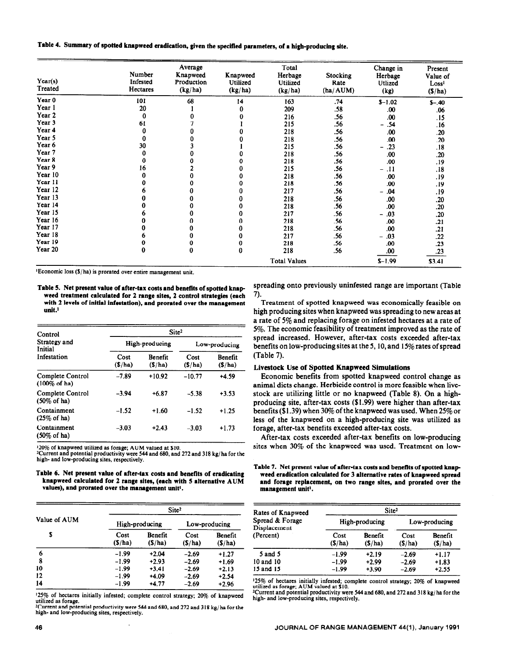## **Table 4. Summary of spotted knapweed eradication, given the specified parameters, of a bigb-producing site.**

| Year(s)<br>Treated | Number<br>Infested<br><b>Hectares</b> | Average<br>Knapweed<br>Production<br>(kg/ha) | Knapweed<br>Utilized<br>(kg/ha) | Total<br>Herbage<br>Utilized<br>(kg/ha) | Stocking<br>Rate<br>(ha/AUM) | Change in<br>Herbage<br>Utlized<br>(kg) | Present<br>Value of<br>Loss <sup>1</sup><br>(S/ha) |
|--------------------|---------------------------------------|----------------------------------------------|---------------------------------|-----------------------------------------|------------------------------|-----------------------------------------|----------------------------------------------------|
| Year 0             | 101                                   | 68                                           | 14                              | 163                                     | .74                          | $$ -1.02$                               | $S - 40$                                           |
| Year 1             | 20                                    |                                              | 0                               | 209                                     | .58                          | .00                                     | .06                                                |
| Year 2             | 0                                     |                                              |                                 | 216                                     | .56                          | .00                                     | .15                                                |
| Year <sub>3</sub>  | 61                                    |                                              |                                 | 215                                     | .56                          | .54<br>-                                | .16                                                |
| Year 4             | 0                                     |                                              |                                 | 218                                     | .56                          | .00                                     | .20                                                |
| Year 5             | 0                                     |                                              |                                 | 218                                     | .56                          | .00                                     | .20                                                |
| Year <sub>6</sub>  | 30                                    |                                              |                                 | 215                                     | .56                          | .23<br>-                                | .18                                                |
| Year 7             | 0                                     |                                              | 0                               | 218                                     | .56                          | .00                                     | .20                                                |
| Year 8             | 0                                     |                                              | 0                               | 218                                     | .56                          | .00                                     | .19                                                |
| Year 9             | 16                                    |                                              | 0                               | 215                                     | .56                          | .11<br>$\qquad \qquad -$                | .18                                                |
| Year 10            |                                       |                                              | 0                               | 218                                     | .56                          | .00                                     | .19                                                |
| Year 11            |                                       | 0                                            | 0                               | 218                                     | .56                          | .00                                     | .19                                                |
| Year 12            |                                       |                                              |                                 | 217                                     | .56                          | .04<br>-                                | .19                                                |
| Year 13            |                                       |                                              |                                 | 218                                     | .56                          | .00                                     | .20                                                |
| Year 14            |                                       |                                              | Λ                               | 218                                     | .56                          | .00                                     | .20                                                |
| Year 15            |                                       |                                              |                                 | 217                                     | .56                          | .03<br>$\overline{\phantom{0}}$         | .20                                                |
| Year 16            |                                       |                                              |                                 | 218                                     | .56                          | .00                                     | .21                                                |
| Year 17            |                                       | 0                                            |                                 | 218                                     | .56                          | .00                                     | .21                                                |
| Year 18            |                                       |                                              |                                 | 217                                     | .56                          | .03<br>$\overline{\phantom{0}}$         | .22                                                |
| Year 19            |                                       |                                              | 0                               | 218                                     | .56                          | .00                                     | .23                                                |
| Year 20            | 0                                     | 0                                            | 0                               | 218                                     | .56                          | .00                                     | .23                                                |
|                    |                                       |                                              |                                 | <b>Total Values</b>                     |                              | $S-1.99$                                | \$3.41                                             |

**~Economic** loss (S/ha) is prorated over entire management unit.

**Table 5. Net present value of after-tax costs and benefits of spotted knap weed treatment calculated for 2 range sites, 2 control strategies (each with 2 levels of initial infestation), and prorated over the management unit.'** 

| Control                                             | Site <sup>2</sup> |                          |                |                          |  |  |
|-----------------------------------------------------|-------------------|--------------------------|----------------|--------------------------|--|--|
| Strategy and<br>Initial                             |                   | High-producing           | Low-producing  |                          |  |  |
| Infestation                                         | Cost<br>(S/ha)    | <b>Benefit</b><br>(S/ha) | Cost<br>(S/ha) | <b>Benefit</b><br>(S/ha) |  |  |
| Complete Control<br>$(100\% \text{ of } \text{ha})$ | $-7.89$           | $+10.92$                 | $-10.77$       | $+4.59$                  |  |  |
| Complete Control<br>$(50\% \text{ of } \text{ha})$  | $-3.94$           | $+6.87$                  | $-5.38$        | $+3.53$                  |  |  |
| Containment<br>$(25\% \text{ of } \text{ha})$       | $-1.52$           | $+1.60$                  | $-1.52$        | $+1.25$                  |  |  |
| Containment<br>$(50\% \text{ of ha})$               | $-3.03$           | $+2.43$                  | $-3.03$        | $+1.73$                  |  |  |

'20% of **knapweed utilized as forage; AUM valued at \$10.** 

**\*Current and potential productivity were 544 and 680, and 272 and 318 kg/ha for the high- and low-producing sites, respectively.** 

**Table 6. Net present value of after-tax costs and benefits of eradicating knapweed calculated for 2 range sites, (each with 5 alternative AUM values), and prorated over the management unit'.** 

|              | Site <sup>2</sup> |                   |                |                   |  |  |
|--------------|-------------------|-------------------|----------------|-------------------|--|--|
| Value of AUM |                   | High-producing    | Low-producing  |                   |  |  |
| S            | Cost<br>(S/ha)    | Benefit<br>(S/ha) | Cost<br>(S/ha) | Benefit<br>(S/ha) |  |  |
| 6            | $-1.99$           | $+2.04$           | $-2.69$        | $+1.27$           |  |  |
| 8            | $-1.99$           | $+2.93$           | $-2.69$        | $+1.69$           |  |  |
| 10           | $-1.99$           | $+3.41$           | $-2.69$        | $+2.13$           |  |  |
| 12           | $-1.99$           | +4.09             | $-2.69$        | $+2.54$           |  |  |
| 14           | -1.99             | $+4.77$           | $-2.69$        | $+2.96$           |  |  |

**'25% of** hectares initially infested; complete control strategy; **20% of knapweed** 

**utilized as forage. \*Current and potential productivity were 544 and 680, and 272 and 3 18 kg/ha for the high- and low-producing sites, respectively.** 

spreading onto previously uninfested range are important (Table 7).

Treatment of spotted knapweed was economically feasible on high producing sites when knapweed was spreading to new areas at a rate of 5% and replacing forage on infested hectares at a rate of **5%.** The economic feasibility of treatment improved as the rate of spread increased. However, after-tax costs exceeded after-tax benefits on low-producing sites at the 5, 10, and 15% rates of spread (Table 7).

## **Livestock Use of Spotted Knapweed Simulations**

Economic benefits from spotted knapweed control change as animal diets change. Herbicide control is more feasible when livestock are utilizing little or no knapweed (Table 8). On a highproducing site, after-tax costs (\$1.99) were higher than after-tax benefits (\$1.39) when 30% of the knapweed was used. When  $25\%$  or less of the knapweed on a high-producing site was utilized as forage, after-tax benefits exceeded after-tax costs.

After-tax costs exceeded after-tax benefits on low-producing sites when 30% of the knapweed was used. Treatment on low-

Table 7. Net present value of after-tax costs and benefits of spotted knap**weed eradication calculated for 3 alternative rates of knapweed spread and forage replacement, on two range sites, and prorated over the management unit'.** 

| Rates of Knapweed               | Site <sup>2</sup> |                   |                |                   |  |  |
|---------------------------------|-------------------|-------------------|----------------|-------------------|--|--|
| Spread & Forage<br>Displacement |                   | High-producing    | Low-producing  |                   |  |  |
| (Percent)                       | Cost<br>(S/ha)    | Benefit<br>(S/ha) | Cost<br>(S/ha) | Benefit<br>(S/ha) |  |  |
| $5$ and $5$                     | $-1.99$           | $+2.19$           | $-2.69$        | $+1.17$           |  |  |
| 10 and 10                       | $-1.99$           | $+2.99$           | $-2.69$        | $+1.83$           |  |  |
| 15 and 15                       | $-1.99$           | $+3.90$           | $-2.69$        | $+2.55$           |  |  |

**'25% of hectares initially infested; complete control strategy; 20% of knapweed utilized as forage; AUM valued at \$10. 'Current and potential productivity wen 544 and 680, and 272 and 3 18 kg/ ha for the** 

**high- and low-producing sites, respectively.**